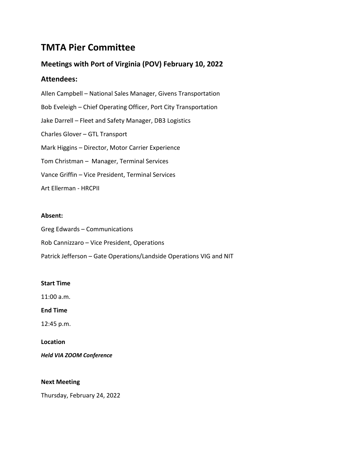# **TMTA Pier Committee**

# **Meetings with Port of Virginia (POV) February 10, 2022**

# **Attendees:**

Allen Campbell – National Sales Manager, Givens Transportation Bob Eveleigh – Chief Operating Officer, Port City Transportation Jake Darrell – Fleet and Safety Manager, DB3 Logistics Charles Glover – GTL Transport Mark Higgins – Director, Motor Carrier Experience Tom Christman – Manager, Terminal Services Vance Griffin – Vice President, Terminal Services Art Ellerman - HRCPII

# **Absent:**

Greg Edwards – Communications Rob Cannizzaro – Vice President, Operations Patrick Jefferson – Gate Operations/Landside Operations VIG and NIT

# **Start Time**

11:00 a.m.

**End Time**

12:45 p.m.

**Location**

*Held VIA ZOOM Conference*

# **Next Meeting**

Thursday, February 24, 2022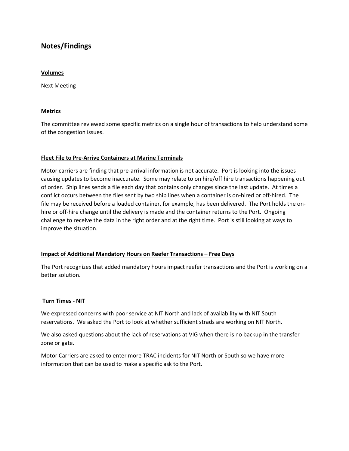# **Notes/Findings**

#### **Volumes**

Next Meeting

# **Metrics**

The committee reviewed some specific metrics on a single hour of transactions to help understand some of the congestion issues.

### **Fleet File to Pre-Arrive Containers at Marine Terminals**

Motor carriers are finding that pre-arrival information is not accurate. Port is looking into the issues causing updates to become inaccurate. Some may relate to on hire/off hire transactions happening out of order. Ship lines sends a file each day that contains only changes since the last update. At times a conflict occurs between the files sent by two ship lines when a container is on-hired or off-hired. The file may be received before a loaded container, for example, has been delivered. The Port holds the onhire or off-hire change until the delivery is made and the container returns to the Port. Ongoing challenge to receive the data in the right order and at the right time. Port is still looking at ways to improve the situation.

### **Impact of Additional Mandatory Hours on Reefer Transactions – Free Days**

The Port recognizes that added mandatory hours impact reefer transactions and the Port is working on a better solution.

# **Turn Times - NIT**

We expressed concerns with poor service at NIT North and lack of availability with NIT South reservations. We asked the Port to look at whether sufficient strads are working on NIT North.

We also asked questions about the lack of reservations at VIG when there is no backup in the transfer zone or gate.

Motor Carriers are asked to enter more TRAC incidents for NIT North or South so we have more information that can be used to make a specific ask to the Port.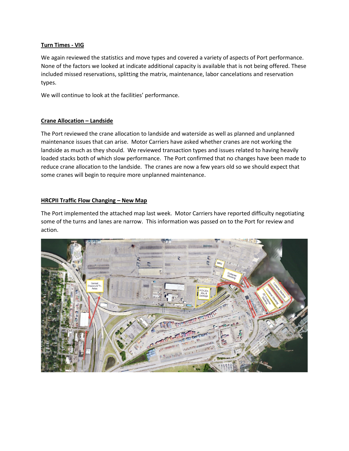## **Turn Times - VIG**

We again reviewed the statistics and move types and covered a variety of aspects of Port performance. None of the factors we looked at indicate additional capacity is available that is not being offered. These included missed reservations, splitting the matrix, maintenance, labor cancelations and reservation types.

We will continue to look at the facilities' performance.

### **Crane Allocation – Landside**

The Port reviewed the crane allocation to landside and waterside as well as planned and unplanned maintenance issues that can arise. Motor Carriers have asked whether cranes are not working the landside as much as they should. We reviewed transaction types and issues related to having heavily loaded stacks both of which slow performance. The Port confirmed that no changes have been made to reduce crane allocation to the landside. The cranes are now a few years old so we should expect that some cranes will begin to require more unplanned maintenance.

# **HRCPII Traffic Flow Changing – New Map**

The Port implemented the attached map last week. Motor Carriers have reported difficulty negotiating some of the turns and lanes are narrow. This information was passed on to the Port for review and action.

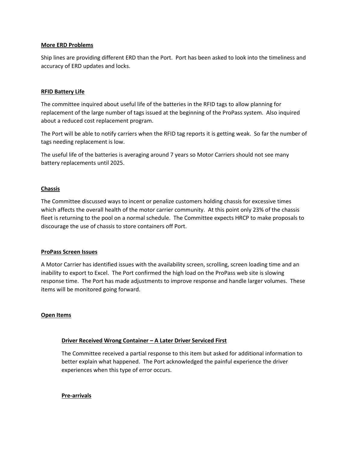### **More ERD Problems**

Ship lines are providing different ERD than the Port. Port has been asked to look into the timeliness and accuracy of ERD updates and locks.

#### **RFID Battery Life**

The committee inquired about useful life of the batteries in the RFID tags to allow planning for replacement of the large number of tags issued at the beginning of the ProPass system. Also inquired about a reduced cost replacement program.

The Port will be able to notify carriers when the RFID tag reports it is getting weak. So far the number of tags needing replacement is low.

The useful life of the batteries is averaging around 7 years so Motor Carriers should not see many battery replacements until 2025.

#### **Chassis**

The Committee discussed ways to incent or penalize customers holding chassis for excessive times which affects the overall health of the motor carrier community. At this point only 23% of the chassis fleet is returning to the pool on a normal schedule. The Committee expects HRCP to make proposals to discourage the use of chassis to store containers off Port.

#### **ProPass Screen Issues**

A Motor Carrier has identified issues with the availability screen, scrolling, screen loading time and an inability to export to Excel. The Port confirmed the high load on the ProPass web site is slowing response time. The Port has made adjustments to improve response and handle larger volumes. These items will be monitored going forward.

#### **Open Items**

### **Driver Received Wrong Container – A Later Driver Serviced First**

The Committee received a partial response to this item but asked for additional information to better explain what happened. The Port acknowledged the painful experience the driver experiences when this type of error occurs.

**Pre-arrivals**